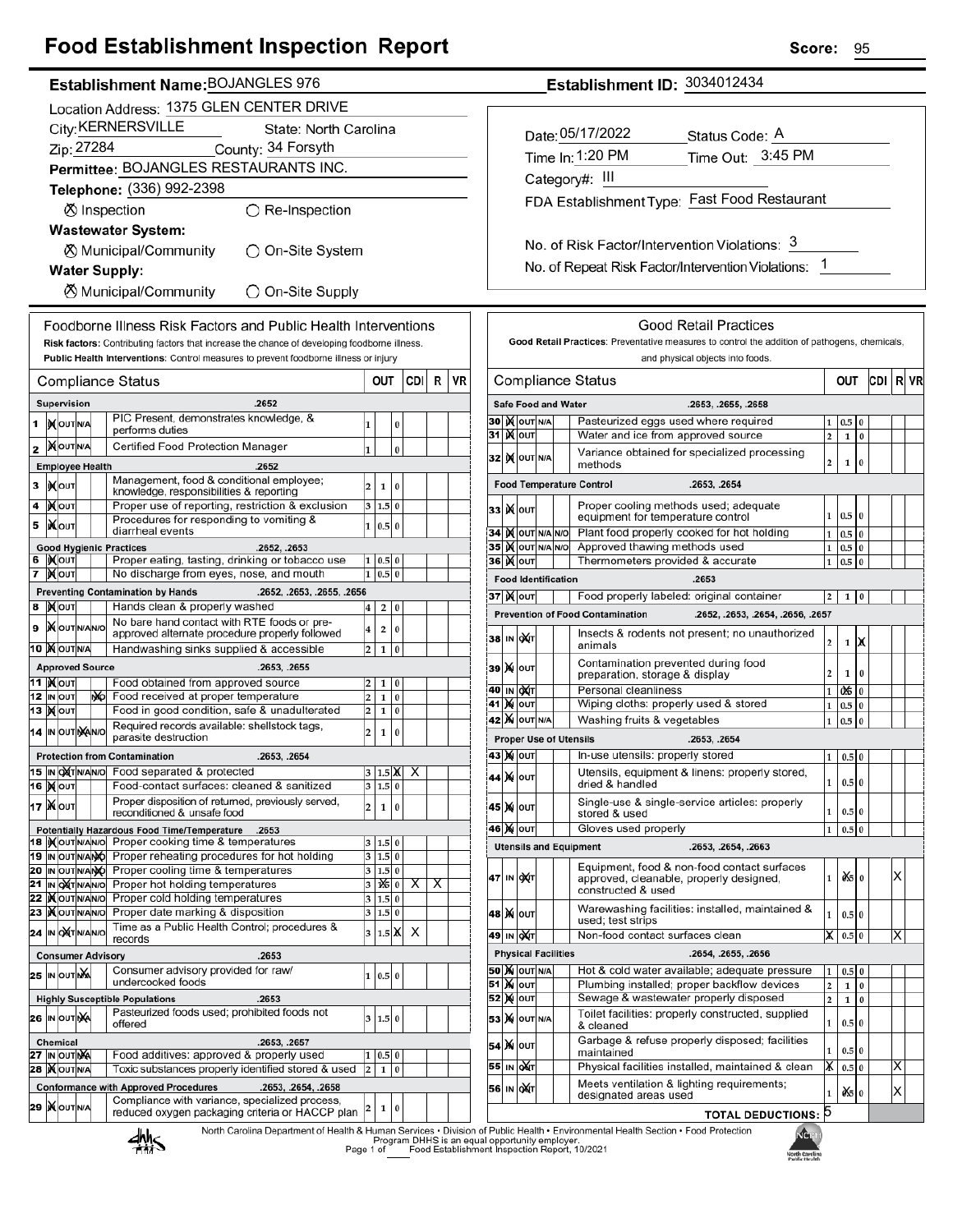## **Food Establishment Inspection Report**

#### Establishment Name: BOJANGLES 976

|        | Location Address: 1375 GLEN CENTER DRIVE    |                               |  |    |                                                                                                                          |                         |                    |          |      |   |    |
|--------|---------------------------------------------|-------------------------------|--|----|--------------------------------------------------------------------------------------------------------------------------|-------------------------|--------------------|----------|------|---|----|
|        | City: KERNERSVILLE<br>State: North Carolina |                               |  |    |                                                                                                                          |                         |                    |          |      |   |    |
|        | Zip: 27284<br>County: 34 Forsyth            |                               |  |    |                                                                                                                          |                         |                    |          |      |   |    |
|        |                                             |                               |  |    | Permittee: BOJANGLES RESTAURANTS INC.                                                                                    |                         |                    |          |      |   |    |
|        |                                             |                               |  |    | Telephone: (336) 992-2398                                                                                                |                         |                    |          |      |   |    |
|        |                                             |                               |  |    | $\bigcirc$ Re-Inspection<br><b><sup>⑦</sup></b> Inspection                                                               |                         |                    |          |      |   |    |
|        |                                             |                               |  |    | <b>Wastewater System:</b>                                                                                                |                         |                    |          |      |   |    |
|        |                                             |                               |  |    | ⊗ Municipal/Community<br>◯ On-Site System                                                                                |                         |                    |          |      |   |    |
|        |                                             |                               |  |    | <b>Water Supply:</b>                                                                                                     |                         |                    |          |      |   |    |
|        |                                             |                               |  |    | ⊗ Municipal/Community<br>◯ On-Site Supply                                                                                |                         |                    |          |      |   |    |
|        |                                             |                               |  |    | Foodborne Illness Risk Factors and Public Health Interventions                                                           |                         |                    |          |      |   |    |
|        |                                             |                               |  |    | Risk factors: Contributing factors that increase the chance of developing foodborne illness.                             |                         |                    |          |      |   |    |
|        |                                             |                               |  |    | Public Health Interventions: Control measures to prevent foodborne illness or injury                                     |                         |                    |          |      |   |    |
|        |                                             |                               |  |    | <b>Compliance Status</b>                                                                                                 |                         | OUT                |          | CDII | R | VR |
|        |                                             | Supervision                   |  |    | .2652                                                                                                                    |                         |                    |          |      |   |    |
| 1      |                                             | IN OUT N/A                    |  |    | PIC Present, demonstrates knowledge, &<br>performs duties                                                                | 1                       |                    | 0        |      |   |    |
| 2      |                                             | <b>IX</b> OUTINA              |  |    | Certified Food Protection Manager                                                                                        | 1                       |                    | $\bf{0}$ |      |   |    |
|        |                                             | <b>Employee Health</b>        |  |    | .2652                                                                                                                    |                         |                    |          |      |   |    |
| 3      |                                             | <b>KOUT</b>                   |  |    | Management, food & conditional employee;<br>knowledge, responsibilities & reporting                                      | 2                       | 1                  | 0        |      |   |    |
| 4      |                                             | јХ∣оυт                        |  |    | Proper use of reporting, restriction & exclusion                                                                         | 3                       | 1.5                | 0        |      |   |    |
| 5      |                                             | <b>IX</b> out                 |  |    | Procedures for responding to vomiting &<br>diarrheal events                                                              | 1                       | 0.5                | $\bf{0}$ |      |   |    |
|        |                                             |                               |  |    | <b>Good Hygienic Practices</b><br>.2652, .2653                                                                           |                         |                    |          |      |   |    |
| 6<br>7 |                                             | IXOUT<br><b>X</b> OUT         |  |    | Proper eating, tasting, drinking or tobacco use<br>No discharge from eyes, nose, and mouth                               | 1<br>1                  | 0.5 0<br>0.5       | 0        |      |   |    |
|        |                                             |                               |  |    | .2652, .2653, .2655, .2656<br><b>Preventing Contamination by Hands</b>                                                   |                         |                    |          |      |   |    |
| 8      |                                             | <b>XOUT</b>                   |  |    | Hands clean & properly washed                                                                                            | 4                       | 2                  | 0        |      |   |    |
| 9      |                                             | <b>X</b> OUTNANO              |  |    | No bare hand contact with RTE foods or pre-<br>approved alternate procedure properly followed                            | 4                       | 2                  | 0        |      |   |    |
|        |                                             | 10 MOUTNA                     |  |    | Handwashing sinks supplied & accessible                                                                                  | 2                       | $\mathbf{1}$       | 0        |      |   |    |
|        |                                             | <b>Approved Source</b>        |  |    | .2653, .2655                                                                                                             |                         |                    |          |      |   |    |
|        |                                             | 11  )( о∪т<br>12 IN OUT       |  | ŴЫ | Food obtained from approved source<br>Food received at proper temperature                                                | 2<br>2                  | 1<br>1             | 0<br>0   |      |   |    |
|        |                                             | 13   <b>)(</b>  оит           |  |    | Food in good condition, safe & unadulterated                                                                             | 2                       | 1                  | 0        |      |   |    |
|        |                                             | 14 IN OUTINAINO               |  |    | Required records available: shellstock tags,<br>parasite destruction                                                     | 2                       | $\mathbf{1}$       | 0        |      |   |    |
|        |                                             |                               |  |    | <b>Protection from Contamination</b><br>.2653, .2654                                                                     |                         |                    |          |      |   |    |
|        |                                             | 15  IN OXTN/AN/O              |  |    | Food separated & protected                                                                                               |                         | $1.5\,$ M          |          | х    |   |    |
|        |                                             | <b>16 ) о</b> лт              |  |    | Food-contact surfaces: cleaned & sanitized<br>Proper disposition of returned, previously served,                         |                         | 3 1.5 0            |          |      |   |    |
|        |                                             | 17   N out                    |  |    | reconditioned & unsafe food                                                                                              | 2                       | 1                  | 0        |      |   |    |
|        |                                             |                               |  |    | Potentially Hazardous Food Time/Temperature .2653<br>18  Mout NANO Proper cooking time & temperatures                    |                         | 3 1.5 0            |          |      |   |    |
|        |                                             | 19 IN OUT N/ANO               |  |    | Proper reheating procedures for hot holding                                                                              | 3                       | 1.5 0              |          |      |   |    |
|        |                                             |                               |  |    | 20 IN OUT N/ANO Proper cooling time & temperatures                                                                       | 3                       | 1.5 0              |          |      |   |    |
|        |                                             | 21 IN OXTNANO<br>22   OUTNANO |  |    | Proper hot holding temperatures<br>Proper cold holding temperatures                                                      | 3<br>3                  | 1X5 0<br>1.5 0     |          | х    | Х |    |
| 23     |                                             | <b>IX</b> OUTIN/AN/O          |  |    | Proper date marking & disposition                                                                                        | 3                       | $1.5\overline{0}$  |          |      |   |    |
|        |                                             | 24 IN OXTNANO                 |  |    | Time as a Public Health Control; procedures &<br>records                                                                 | 3                       | $1.5\vert\text{K}$ |          | х    |   |    |
|        |                                             |                               |  |    | .2653<br><b>Consumer Advisory</b>                                                                                        |                         |                    |          |      |   |    |
|        |                                             | 25 IN OUTING                  |  |    | Consumer advisory provided for raw/<br>undercooked foods                                                                 | 1                       | 0.5 0              |          |      |   |    |
|        |                                             |                               |  |    | <b>Highly Susceptible Populations</b><br>.2653                                                                           |                         |                    |          |      |   |    |
|        |                                             | 26 IN OUT NA                  |  |    | Pasteurized foods used; prohibited foods not<br>offered                                                                  | 3                       | 1.5                | 0        |      |   |    |
|        |                                             | <b>Chemical</b>               |  |    | .2653, .2657                                                                                                             |                         |                    |          |      |   |    |
|        |                                             | 27 IN OUT NA                  |  |    | Food additives: approved & properly used                                                                                 | 1                       | 0.5                | 0        |      |   |    |
|        |                                             | <b>28  ) (</b> OUT N/A        |  |    | Toxic substances properly identified stored & used<br><b>Conformance with Approved Procedures</b><br>.2653, .2654, .2658 | $\overline{\mathbf{c}}$ | $\mathbf{1}$       | $\bf{0}$ |      |   |    |
|        |                                             | 29  X OUTNA                   |  |    | Compliance with variance, specialized process,                                                                           | 2                       | 1                  | 0        |      |   |    |
|        |                                             |                               |  |    | reduced oxygen packaging criteria or HACCP plan                                                                          |                         |                    |          |      |   |    |

## Establishment ID: 3034012434

| Date: 05/17/2022                             | Status Code: A    |  |  |  |  |
|----------------------------------------------|-------------------|--|--|--|--|
| Time In: 1:20 PM                             | Time Out: 3:45 PM |  |  |  |  |
| Category#: III                               |                   |  |  |  |  |
| FDA Establishment Type: Fast Food Restaurant |                   |  |  |  |  |

No. of Risk Factor/Intervention Violations: 3 No. of Repeat Risk Factor/Intervention Violations: 1

|                                                 |                                                                                         |                                                                        |                  |                            | Good Retail Practices                                                                                             |                |       |          |     |   |    |
|-------------------------------------------------|-----------------------------------------------------------------------------------------|------------------------------------------------------------------------|------------------|----------------------------|-------------------------------------------------------------------------------------------------------------------|----------------|-------|----------|-----|---|----|
|                                                 |                                                                                         |                                                                        |                  |                            | Good Retail Practices: Preventative measures to control the addition of pathogens, chemicals,                     |                |       |          |     |   |    |
|                                                 |                                                                                         |                                                                        |                  |                            | and physical objects into foods.                                                                                  |                |       |          |     |   |    |
|                                                 |                                                                                         |                                                                        |                  |                            | <b>Compliance Status</b>                                                                                          |                | out   |          | CDI | R | VR |
|                                                 |                                                                                         |                                                                        |                  | <b>Safe Food and Water</b> | .2653, .2655, .2658                                                                                               |                |       |          |     |   |    |
|                                                 |                                                                                         |                                                                        |                  |                            | $_{0.5}$                                                                                                          | 0              |       |          |     |   |    |
|                                                 | Pasteurized eggs used where required<br>31∣)(∥о∪т<br>Water and ice from approved source |                                                                        |                  |                            |                                                                                                                   |                |       | $\bf{0}$ |     |   |    |
| 32                                              | Variance obtained for specialized processing<br><b>IX</b> OUT N/A<br>methods            |                                                                        |                  |                            |                                                                                                                   |                |       | 0        |     |   |    |
| <b>Food Temperature Control</b><br>.2653, .2654 |                                                                                         |                                                                        |                  |                            |                                                                                                                   |                |       |          |     |   |    |
| 33                                              | <b>K</b> lout                                                                           |                                                                        |                  |                            | Proper cooling methods used; adequate<br>equipment for temperature control                                        | 1              | 0.5   | $\bf{0}$ |     |   |    |
| 34                                              |                                                                                         |                                                                        | <b>KOUT NAMO</b> |                            | Plant food properly cooked for hot holding                                                                        | $\mathbf{1}$   | 0.5   | $\bf{0}$ |     |   |    |
| 35                                              |                                                                                         |                                                                        |                  | IX OUT N/A N/O             | Approved thawing methods used                                                                                     | $\mathbf{1}$   | 0.5   | $\bf{0}$ |     |   |    |
| 36                                              | <b>K</b> lout                                                                           |                                                                        |                  |                            | Thermometers provided & accurate                                                                                  | 1              | 0.5   | 0        |     |   |    |
|                                                 |                                                                                         |                                                                        |                  | <b>Food Identification</b> | .2653                                                                                                             |                |       |          |     |   |    |
| 37∣)( ∣о∪т                                      |                                                                                         |                                                                        |                  |                            | Food properly labeled: original container                                                                         | 2              | 1     | 0        |     |   |    |
|                                                 |                                                                                         |                                                                        |                  |                            | <b>Prevention of Food Contamination</b><br>.2652, .2653, .2654, .2656, .2657                                      |                |       |          |     |   |    |
| 38                                              | IN                                                                                      | ОХГ                                                                    |                  |                            | Insects & rodents not present; no unauthorized<br>animals                                                         | $\overline{2}$ | 1     | X        |     |   |    |
| 39                                              | M                                                                                       | lout                                                                   |                  |                            | Contamination prevented during food<br>preparation, storage & display                                             | $\overline{2}$ | 1     | 0        |     |   |    |
| 40                                              | IN                                                                                      | <b>DAT</b>                                                             |                  |                            | Personal cleanliness                                                                                              | 1              | 0\$   | 0        |     |   |    |
| 41                                              | M                                                                                       | OUT                                                                    |                  |                            | Wiping cloths: properly used & stored                                                                             | 1              | 0.5   | 0        |     |   |    |
| 42                                              |                                                                                         |                                                                        | <b>X</b> OUT N/A |                            | Washing fruits & vegetables                                                                                       | 1              | 0.5   | $\bf{0}$ |     |   |    |
|                                                 |                                                                                         |                                                                        |                  |                            | <b>Proper Use of Utensils</b><br>.2653, .2654                                                                     |                |       |          |     |   |    |
| 43   ) (   ouт                                  |                                                                                         |                                                                        |                  |                            | In-use utensils: properly stored                                                                                  | 1              | 0.5   | 0        |     |   |    |
| 44                                              | M                                                                                       | <b>OUT</b>                                                             |                  |                            | Utensils, equipment & linens: properly stored,<br>dried & handled                                                 | 1              | 0.5 0 |          |     |   |    |
| 45                                              | M                                                                                       | Single-use & single-service articles: properly<br>OUT<br>stored & used |                  |                            |                                                                                                                   |                |       | 0        |     |   |    |
| 46   ) (   ouт                                  |                                                                                         |                                                                        |                  |                            | Gloves used properly                                                                                              | 1              | 0.5   | $\bf{0}$ |     |   |    |
|                                                 |                                                                                         |                                                                        |                  |                            | <b>Utensils and Equipment</b><br>.2653, .2654, .2663                                                              |                |       |          |     |   |    |
| 47                                              | IN                                                                                      | ∣ох(т                                                                  |                  |                            | Equipment, food & non-food contact surfaces<br>approved, cleanable, properly designed,<br>constructed & used      | 1              | ÒŚ.   | $\bf{0}$ |     | x |    |
| 48                                              | <b>M</b> OUT                                                                            |                                                                        |                  |                            | Warewashing facilities: installed, maintained &<br>used; test strips                                              | 1              | 0.5   | $\bf{0}$ |     |   |    |
| 49                                              | IN QAT                                                                                  |                                                                        |                  |                            | Non-food contact surfaces clean                                                                                   | х              | 0.5   | 0        |     | х |    |
|                                                 |                                                                                         |                                                                        |                  | <b>Physical Facilities</b> | .2654, .2655, .2656                                                                                               |                |       |          |     |   |    |
| <b>50   X</b>   OUT   N/A                       |                                                                                         |                                                                        |                  |                            | Hot & cold water available; adequate pressure                                                                     | 1              | 0.5   | $\bf{0}$ |     |   |    |
| 51                                              | <b>X</b> OUT                                                                            |                                                                        |                  |                            | Plumbing installed; proper backflow devices                                                                       | $\overline{2}$ | 1     | $\bf{0}$ |     |   |    |
| 52                                              | <b>X</b> OUT                                                                            |                                                                        |                  |                            | Sewage & wastewater properly disposed                                                                             | $\overline{2}$ | 1     | $\bf{0}$ |     |   |    |
| 53                                              | Toilet facilities: properly constructed, supplied<br>OUT N/A<br>M<br>& cleaned          |                                                                        |                  |                            |                                                                                                                   |                |       | 0        |     |   |    |
| 54<br>55                                        | M<br>IN                                                                                 | OUT                                                                    |                  |                            | Garbage & refuse properly disposed; facilities<br>maintained<br>Physical facilities installed, maintained & clean | 1              | 0.5   | $\bf{0}$ |     |   |    |
|                                                 |                                                                                         | ОÁТ                                                                    |                  |                            |                                                                                                                   | x              | 0.5   | $\bf{0}$ |     | х |    |
| 56                                              | IN                                                                                      | охт                                                                    |                  |                            | Meets ventilation & lighting requirements;<br>designated areas used                                               | $\mathbf{1}$   | ò≲sl  | $\bf{0}$ |     | х |    |
|                                                 |                                                                                         |                                                                        |                  |                            | <b>TOTAL DEDUCTIONS:</b>                                                                                          | 5              |       |          |     |   |    |

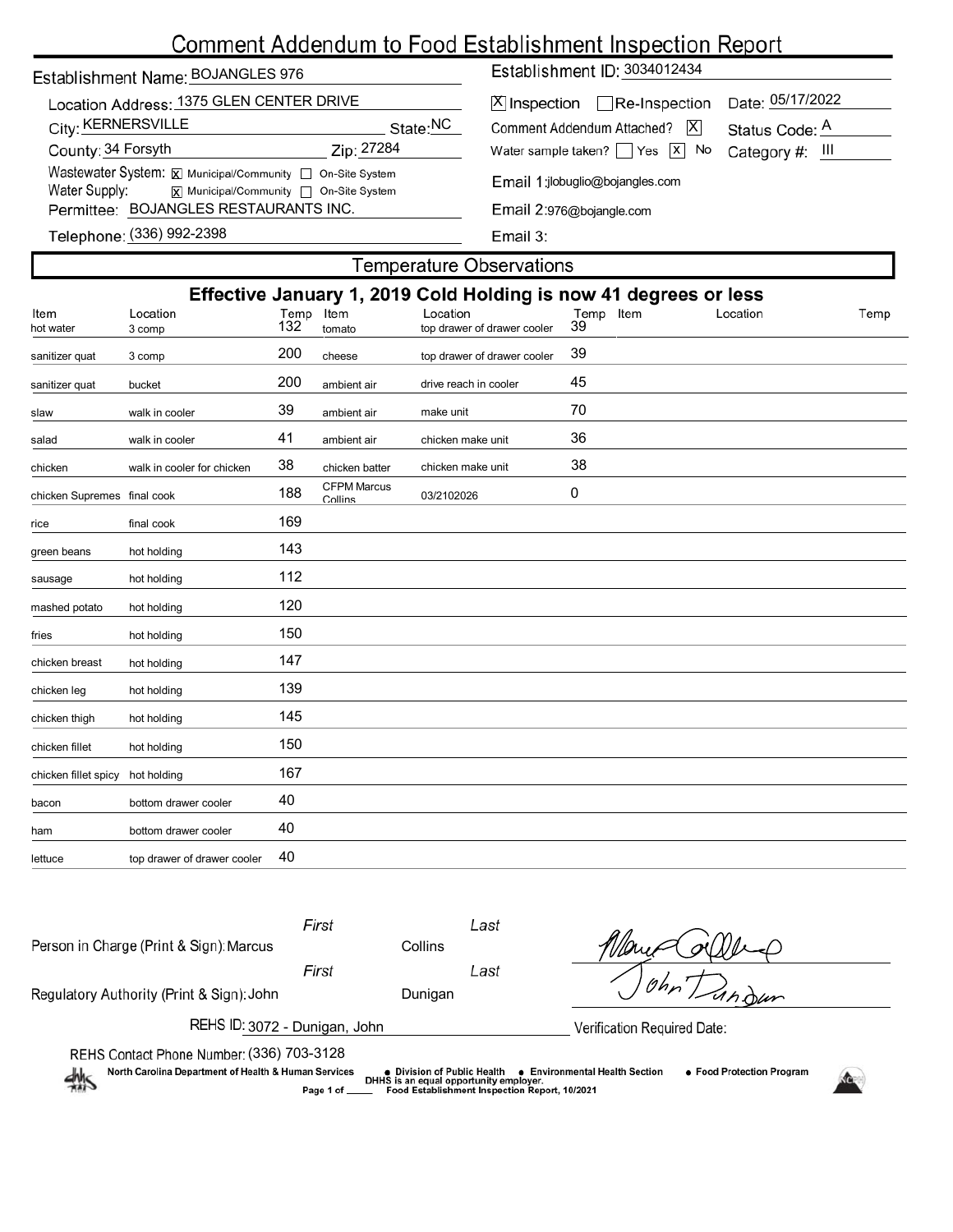# Comment Addendum to Food Establishment Inspection Report

## Establishment Name: BOJANGLES 976

| Location Address: 1375 GLEN CENTER DRIVE                                                       |            |  |  |  |  |  |  |  |
|------------------------------------------------------------------------------------------------|------------|--|--|--|--|--|--|--|
| City: KERNERSVILLE                                                                             | State:NC   |  |  |  |  |  |  |  |
| County: 34 Forsyth                                                                             | Zip: 27284 |  |  |  |  |  |  |  |
| Wastewater System: X Municipal/Community   On-Site System                                      |            |  |  |  |  |  |  |  |
| Water Supply:<br>$\boxed{\mathbf{X}}$ Municipal/Community $\boxed{\phantom{a}}$ On-Site System |            |  |  |  |  |  |  |  |
| Permittee: BOJANGLES RESTAURANTS INC.                                                          |            |  |  |  |  |  |  |  |

Establishment ID: 3034012434

| X  Inspection   Re-Inspection Date: 05/17/2022                   |  |
|------------------------------------------------------------------|--|
| Comment Addendum Attached?   X Status Code: A                    |  |
| Water sample taken? $\sqrt{ }$ Yes $\sqrt{ }$ No Category #: III |  |

Email 1:jlobuglio@bojangles.com

Email 2:976@bojangle.com

Email 3:

| Felephone: (336) 992-2398 |  |  |
|---------------------------|--|--|
|                           |  |  |

## **Temperature Observations**

| Effective January 1, 2019 Cold Holding is now 41 degrees or less |                             |      |                               |                             |           |          |      |  |
|------------------------------------------------------------------|-----------------------------|------|-------------------------------|-----------------------------|-----------|----------|------|--|
| Item                                                             | Location                    | Temp | Item                          | Location                    | Temp Item | Location | Temp |  |
| hot water                                                        | 3 comp                      | 132  | tomato                        | top drawer of drawer cooler | 39        |          |      |  |
| sanitizer quat                                                   | 3 comp                      | 200  | cheese                        | top drawer of drawer cooler | 39        |          |      |  |
| sanitizer quat                                                   | bucket                      | 200  | ambient air                   | drive reach in cooler       | 45        |          |      |  |
| slaw                                                             | walk in cooler              | 39   | ambient air                   | make unit                   | 70        |          |      |  |
| salad                                                            | walk in cooler              | 41   | ambient air                   | chicken make unit           | 36        |          |      |  |
| chicken                                                          | walk in cooler for chicken  | 38   | chicken batter                | chicken make unit           | 38        |          |      |  |
| chicken Supremes final cook                                      |                             | 188  | <b>CFPM Marcus</b><br>Collins | 03/2102026                  | 0         |          |      |  |
| rice                                                             | final cook                  | 169  |                               |                             |           |          |      |  |
| green beans                                                      | hot holding                 | 143  |                               |                             |           |          |      |  |
| sausage                                                          | hot holding                 | 112  |                               |                             |           |          |      |  |
| mashed potato                                                    | hot holding                 | 120  |                               |                             |           |          |      |  |
| fries                                                            | hot holding                 | 150  |                               |                             |           |          |      |  |
| chicken breast                                                   | hot holding                 | 147  |                               |                             |           |          |      |  |
| chicken leg                                                      | hot holding                 | 139  |                               |                             |           |          |      |  |
| chicken thigh                                                    | hot holding                 | 145  |                               |                             |           |          |      |  |
| chicken fillet                                                   | hot holding                 | 150  |                               |                             |           |          |      |  |
| chicken fillet spicy                                             | hot holding                 | 167  |                               |                             |           |          |      |  |
| bacon                                                            | bottom drawer cooler        | 40   |                               |                             |           |          |      |  |
| ham                                                              | bottom drawer cooler        | 40   |                               |                             |           |          |      |  |
| lettuce                                                          | top drawer of drawer cooler | 40   |                               |                             |           |          |      |  |
|                                                                  |                             |      |                               |                             |           |          |      |  |

| Person in Charge (Print & Sign): Marcus                                                                                                                                                                                                                                                                                     | First | Collins | Last |               |  |  |  |  |  |
|-----------------------------------------------------------------------------------------------------------------------------------------------------------------------------------------------------------------------------------------------------------------------------------------------------------------------------|-------|---------|------|---------------|--|--|--|--|--|
|                                                                                                                                                                                                                                                                                                                             | First |         | Last |               |  |  |  |  |  |
| Regulatory Authority (Print & Sign): John                                                                                                                                                                                                                                                                                   |       | Dunigan |      | $10h_{\rm p}$ |  |  |  |  |  |
| REHS ID: 3072 - Dunigan, John<br>Verification Required Date:                                                                                                                                                                                                                                                                |       |         |      |               |  |  |  |  |  |
| REHS Contact Phone Number: (336) 703-3128<br>North Carolina Department of Health & Human Services<br>• Food Protection Program<br><b>e</b> Environmental Health Section<br>• Division of Public Health<br>DHHS is an equal opportunity employer.<br>- 11<br>Food Establishment Inspection Report, 10/2021<br>Page 1 of ____ |       |         |      |               |  |  |  |  |  |